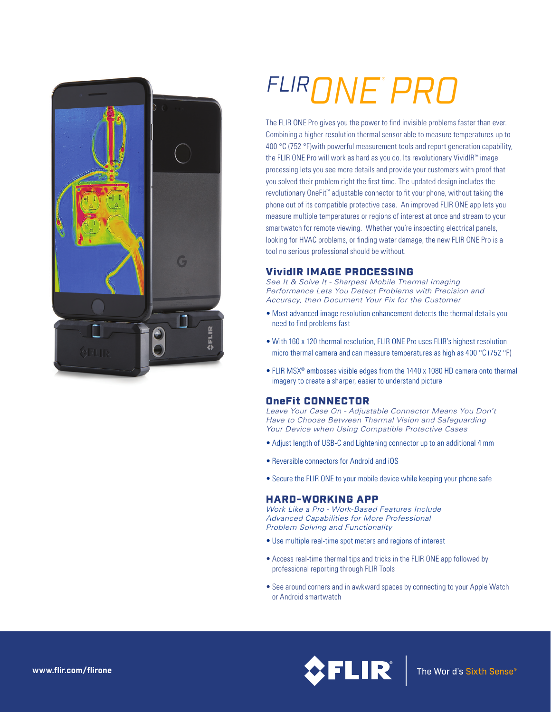

# *FLIRONE PRO* ®

The FLIR ONE Pro gives you the power to find invisible problems faster than ever. Combining a higher-resolution thermal sensor able to measure temperatures up to 400 °C (752 °F) with powerful measurement tools and report generation capability, the FLIR ONE Pro will work as hard as you do. Its revolutionary VividIR™ image processing lets you see more details and provide your customers with proof that you solved their problem right the first time. The updated design includes the revolutionary OneFit™ adjustable connector to fit your phone, without taking the phone out of its compatible protective case. An improved FLIR ONE app lets you measure multiple temperatures or regions of interest at once and stream to your smartwatch for remote viewing. Whether you're inspecting electrical panels, looking for HVAC problems, or finding water damage, the new FLIR ONE Pro is a tool no serious professional should be without.

# VividIR IMAGE PROCESSING

*See It & Solve It - Sharpest Mobile Thermal Imaging Performance Lets You Detect Problems with Precision and Accuracy, then Document Your Fix for the Customer*

- Most advanced image resolution enhancement detects the thermal details you need to find problems fast
- With 160 x 120 thermal resolution, FLIR ONE Pro uses FLIR's highest resolution micro thermal camera and can measure temperatures as high as 400 °C (752 °F)
- FLIR MSX® embosses visible edges from the 1440 x 1080 HD camera onto thermal imagery to create a sharper, easier to understand picture

# OneFit CONNECTOR

*Leave Your Case On - Adjustable Connector Means You Don't Have to Choose Between Thermal Vision and Safeguarding Your Device when Using Compatible Protective Cases*

- Adjust length of USB-C and Lightening connector up to an additional 4 mm
- Reversible connectors for Android and iOS
- Secure the FLIR ONE to your mobile device while keeping your phone safe

# HARD-WORKING APP

*Work Like a Pro - Work-Based Features Include Advanced Capabilities for More Professional Problem Solving and Functionality*

- Use multiple real-time spot meters and regions of interest
- Access real-time thermal tips and tricks in the FLIR ONE app followed by professional reporting through FLIR Tools
- See around corners and in awkward spaces by connecting to your Apple Watch or Android smartwatch